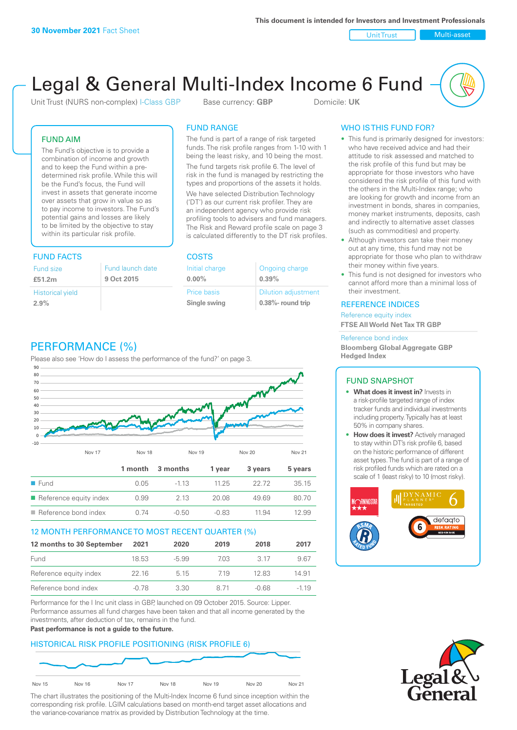Unit Trust Nulti-asset

# Legal & General Multi-Index Income 6 Fund

Unit Trust (NURS non-complex) I-Class GBP Base currency: **GBP** Domicile: UK

# FUND AIM

The Fund's objective is to provide a combination of income and growth and to keep the Fund within a predetermined risk profile. While this will be the Fund's focus, the Fund will invest in assets that generate income over assets that grow in value so as to pay income to investors. The Fund's potential gains and losses are likely to be limited by the objective to stay within its particular risk profile.

# FUND FACTS COSTS

| Fund size<br>£51.2m     | Fund launch date<br>9 Oct 2015 |
|-------------------------|--------------------------------|
| <b>Historical yield</b> |                                |
| 2.9%                    |                                |

# FUND RANGE

The fund is part of a range of risk targeted funds. The risk profile ranges from 1-10 with 1 being the least risky, and 10 being the most.

The fund targets risk profile 6. The level of risk in the fund is managed by restricting the types and proportions of the assets it holds. We have selected Distribution Technology ('DT') as our current risk profiler. They are an independent agency who provide risk profiling tools to advisers and fund managers. The Risk and Reward profile scale on page 3 is calculated differently to the DT risk profiles.

**0.00%**

| Initial charge | Ongoing charge             |
|----------------|----------------------------|
| $0.00\%$       | 0.39%                      |
| Price basis    | <b>Dilution adjustment</b> |
| Single swing   | 0.38%- round trip          |

# WHO IS THIS FUND FOR?

- This fund is primarily designed for investors: who have received advice and had their attitude to risk assessed and matched to the risk profile of this fund but may be appropriate for those investors who have considered the risk profile of this fund with the others in the Multi-Index range; who are looking for growth and income from an investment in bonds, shares in companies, money market instruments, deposits, cash and indirectly to alternative asset classes (such as commodities) and property.
- Although investors can take their money out at any time, this fund may not be appropriate for those who plan to withdraw their money within five years.
- This fund is not designed for investors who cannot afford more than a minimal loss of their investment.

# REFERENCE INDICES

Reference equity index **FTSE All World Net Tax TR GBP**

#### Reference bond index

**Bloomberg Global Aggregate GBP Hedged Index**

# FUND SNAPSHOT

- **• What does it invest in?** Invests in a risk-profile targeted range of index tracker funds and individual investments including property. Typically has at least 50% in company shares.
- **• How does it invest?** Actively managed to stay within DT's risk profile 6, based on the historic performance of different asset types. The fund is part of a range of risk profiled funds which are rated on a scale of 1 (least risky) to 10 (most risky).





# PERFORMANCE (%)

Please also see 'How do I assess the performance of the fund?' on page 3.



# 12 MONTH PERFORMANCE TO MOST RECENT QUARTER (%)

| 12 months to 30 September | 2021  | 2020    | 2019 | 2018  | 2017   |
|---------------------------|-------|---------|------|-------|--------|
| Fund                      | 18.53 | $-5.99$ | 703  | 3.17  | 967    |
| Reference equity index    | 22 16 | 5 1 5   | 719  | 12.83 | 14.91  |
| Reference bond index      | -0.78 | 3.30    | 8 71 | -0.68 | $-119$ |

Performance for the I Inc unit class in GBP, launched on 09 October 2015. Source: Lipper. Performance assumes all fund charges have been taken and that all income generated by the investments, after deduction of tax, remains in the fund.

#### **Past performance is not a guide to the future.**

# HISTORICAL RISK PROFILE POSITIONING (RISK PROFILE 6)



The chart illustrates the positioning of the Multi-Index Income 6 fund since inception within the corresponding risk profile. LGIM calculations based on month-end target asset allocations and the variance-covariance matrix as provided by Distribution Technology at the time.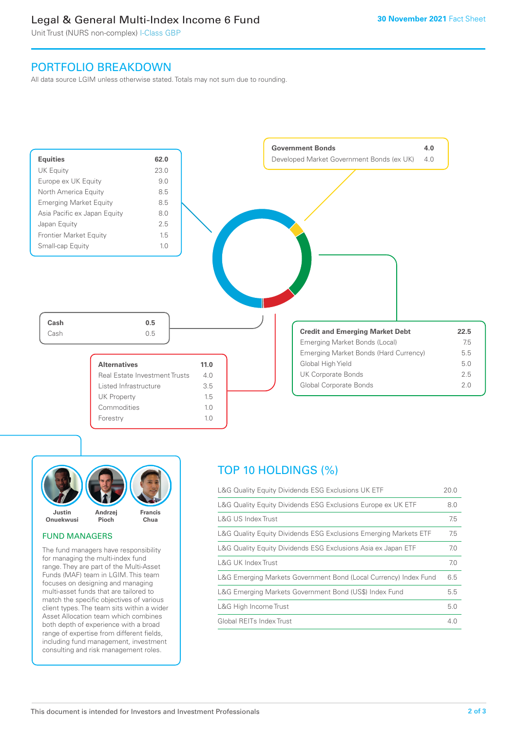# Legal & General Multi-Index Income 6 Fund

Unit Trust (NURS non-complex) I-Class GBP

# PORTFOLIO BREAKDOWN

All data source LGIM unless otherwise stated. Totals may not sum due to rounding.





# FUND MANAGERS

The fund managers have responsibility for managing the multi-index fund range. They are part of the Multi-Asset Funds (MAF) team in LGIM. This team focuses on designing and managing multi-asset funds that are tailored to match the specific objectives of various client types. The team sits within a wider Asset Allocation team which combines both depth of experience with a broad range of expertise from different fields, including fund management, investment consulting and risk management roles.

# TOP 10 HOLDINGS (%)

| L&G Quality Equity Dividends ESG Exclusions UK ETF               | 20.0 |
|------------------------------------------------------------------|------|
| L&G Quality Equity Dividends ESG Exclusions Europe ex UK ETF     | 8.0  |
| L&G US Index Trust                                               | 7.5  |
| L&G Quality Equity Dividends ESG Exclusions Emerging Markets ETF | 7.5  |
| L&G Quality Equity Dividends ESG Exclusions Asia ex Japan ETF    | 7.0  |
| L&G UK Index Trust                                               | 7.0  |
| L&G Emerging Markets Government Bond (Local Currency) Index Fund | 6.5  |
| L&G Emerging Markets Government Bond (US\$) Index Fund           | 5.5  |
| L&G High Income Trust                                            | 5.0  |
| Global REITs Index Trust                                         | 4.0  |